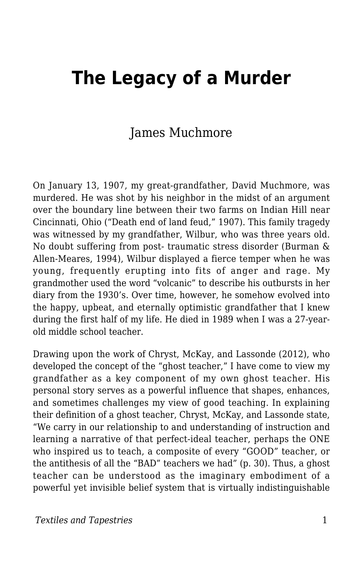# **The Legacy of a Murder**

#### James Muchmore

On January 13, 1907, my great-grandfather, David Muchmore, was murdered. He was shot by his neighbor in the midst of an argument over the boundary line between their two farms on Indian Hill near Cincinnati, Ohio ("Death end of land feud," 1907). This family tragedy was witnessed by my grandfather, Wilbur, who was three years old. No doubt suffering from post- traumatic stress disorder (Burman & Allen-Meares, 1994), Wilbur displayed a fierce temper when he was young, frequently erupting into fits of anger and rage. My grandmother used the word "volcanic" to describe his outbursts in her diary from the 1930's. Over time, however, he somehow evolved into the happy, upbeat, and eternally optimistic grandfather that I knew during the first half of my life. He died in 1989 when I was a 27-yearold middle school teacher.

Drawing upon the work of Chryst, McKay, and Lassonde (2012), who developed the concept of the "ghost teacher," I have come to view my grandfather as a key component of my own ghost teacher. His personal story serves as a powerful influence that shapes, enhances, and sometimes challenges my view of good teaching. In explaining their definition of a ghost teacher, Chryst, McKay, and Lassonde state, "We carry in our relationship to and understanding of instruction and learning a narrative of that perfect-ideal teacher, perhaps the ONE who inspired us to teach, a composite of every "GOOD" teacher, or the antithesis of all the "BAD" teachers we had" (p. 30). Thus, a ghost teacher can be understood as the imaginary embodiment of a powerful yet invisible belief system that is virtually indistinguishable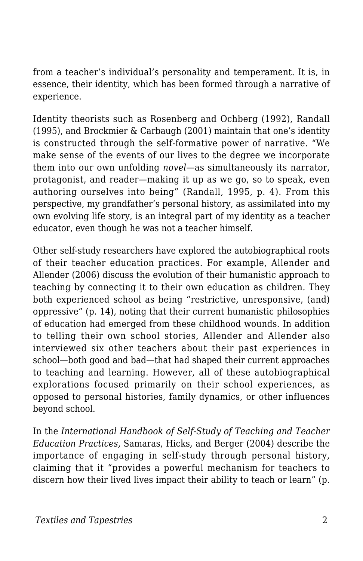from a teacher's individual's personality and temperament. It is, in essence, their identity, which has been formed through a narrative of experience.

Identity theorists such as Rosenberg and Ochberg (1992), Randall (1995), and Brockmier & Carbaugh (2001) maintain that one's identity is constructed through the self-formative power of narrative. "We make sense of the events of our lives to the degree we incorporate them into our own unfolding *novel*—as simultaneously its narrator, protagonist, and reader—making it up as we go, so to speak, even authoring ourselves into being" (Randall, 1995, p. 4). From this perspective, my grandfather's personal history, as assimilated into my own evolving life story, is an integral part of my identity as a teacher educator, even though he was not a teacher himself.

Other self-study researchers have explored the autobiographical roots of their teacher education practices. For example, Allender and Allender (2006) discuss the evolution of their humanistic approach to teaching by connecting it to their own education as children. They both experienced school as being "restrictive, unresponsive, (and) oppressive" (p. 14), noting that their current humanistic philosophies of education had emerged from these childhood wounds. In addition to telling their own school stories, Allender and Allender also interviewed six other teachers about their past experiences in school—both good and bad—that had shaped their current approaches to teaching and learning. However, all of these autobiographical explorations focused primarily on their school experiences, as opposed to personal histories, family dynamics, or other influences beyond school.

In the *International Handbook of Self-Study of Teaching and Teacher Education Practices,* Samaras, Hicks, and Berger (2004) describe the importance of engaging in self-study through personal history, claiming that it "provides a powerful mechanism for teachers to discern how their lived lives impact their ability to teach or learn" (p.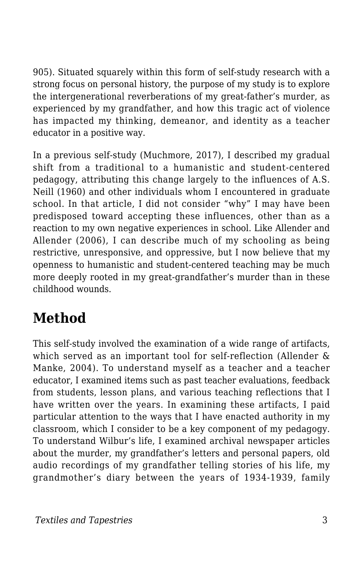905). Situated squarely within this form of self-study research with a strong focus on personal history, the purpose of my study is to explore the intergenerational reverberations of my great-father's murder, as experienced by my grandfather, and how this tragic act of violence has impacted my thinking, demeanor, and identity as a teacher educator in a positive way.

In a previous self-study (Muchmore, 2017), I described my gradual shift from a traditional to a humanistic and student-centered pedagogy, attributing this change largely to the influences of A.S. Neill (1960) and other individuals whom I encountered in graduate school. In that article, I did not consider "why" I may have been predisposed toward accepting these influences, other than as a reaction to my own negative experiences in school. Like Allender and Allender (2006), I can describe much of my schooling as being restrictive, unresponsive, and oppressive, but I now believe that my openness to humanistic and student-centered teaching may be much more deeply rooted in my great-grandfather's murder than in these childhood wounds.

### **Method**

This self-study involved the examination of a wide range of artifacts, which served as an important tool for self-reflection (Allender & Manke, 2004). To understand myself as a teacher and a teacher educator, I examined items such as past teacher evaluations, feedback from students, lesson plans, and various teaching reflections that I have written over the years. In examining these artifacts, I paid particular attention to the ways that I have enacted authority in my classroom, which I consider to be a key component of my pedagogy. To understand Wilbur's life, I examined archival newspaper articles about the murder, my grandfather's letters and personal papers, old audio recordings of my grandfather telling stories of his life, my grandmother's diary between the years of 1934-1939, family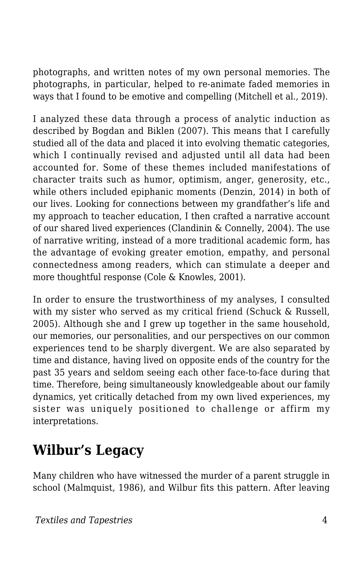photographs, and written notes of my own personal memories. The photographs, in particular, helped to re-animate faded memories in ways that I found to be emotive and compelling (Mitchell et al., 2019).

I analyzed these data through a process of analytic induction as described by Bogdan and Biklen (2007). This means that I carefully studied all of the data and placed it into evolving thematic categories, which I continually revised and adjusted until all data had been accounted for. Some of these themes included manifestations of character traits such as humor, optimism, anger, generosity, etc., while others included epiphanic moments (Denzin, 2014) in both of our lives. Looking for connections between my grandfather's life and my approach to teacher education, I then crafted a narrative account of our shared lived experiences (Clandinin & Connelly, 2004). The use of narrative writing, instead of a more traditional academic form, has the advantage of evoking greater emotion, empathy, and personal connectedness among readers, which can stimulate a deeper and more thoughtful response (Cole & Knowles, 2001).

In order to ensure the trustworthiness of my analyses, I consulted with my sister who served as my critical friend (Schuck & Russell, 2005). Although she and I grew up together in the same household, our memories, our personalities, and our perspectives on our common experiences tend to be sharply divergent. We are also separated by time and distance, having lived on opposite ends of the country for the past 35 years and seldom seeing each other face-to-face during that time. Therefore, being simultaneously knowledgeable about our family dynamics, yet critically detached from my own lived experiences, my sister was uniquely positioned to challenge or affirm my interpretations.

### **Wilbur's Legacy**

Many children who have witnessed the murder of a parent struggle in school (Malmquist, 1986), and Wilbur fits this pattern. After leaving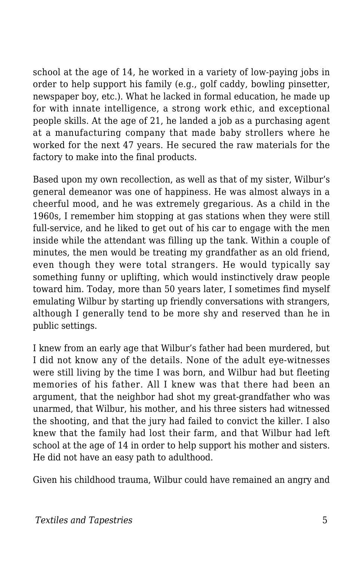school at the age of 14, he worked in a variety of low-paying jobs in order to help support his family (e.g., golf caddy, bowling pinsetter, newspaper boy, etc.). What he lacked in formal education, he made up for with innate intelligence, a strong work ethic, and exceptional people skills. At the age of 21, he landed a job as a purchasing agent at a manufacturing company that made baby strollers where he worked for the next 47 years. He secured the raw materials for the factory to make into the final products.

Based upon my own recollection, as well as that of my sister, Wilbur's general demeanor was one of happiness. He was almost always in a cheerful mood, and he was extremely gregarious. As a child in the 1960s, I remember him stopping at gas stations when they were still full-service, and he liked to get out of his car to engage with the men inside while the attendant was filling up the tank. Within a couple of minutes, the men would be treating my grandfather as an old friend, even though they were total strangers. He would typically say something funny or uplifting, which would instinctively draw people toward him. Today, more than 50 years later, I sometimes find myself emulating Wilbur by starting up friendly conversations with strangers, although I generally tend to be more shy and reserved than he in public settings.

I knew from an early age that Wilbur's father had been murdered, but I did not know any of the details. None of the adult eye-witnesses were still living by the time I was born, and Wilbur had but fleeting memories of his father. All I knew was that there had been an argument, that the neighbor had shot my great-grandfather who was unarmed, that Wilbur, his mother, and his three sisters had witnessed the shooting, and that the jury had failed to convict the killer. I also knew that the family had lost their farm, and that Wilbur had left school at the age of 14 in order to help support his mother and sisters. He did not have an easy path to adulthood.

Given his childhood trauma, Wilbur could have remained an angry and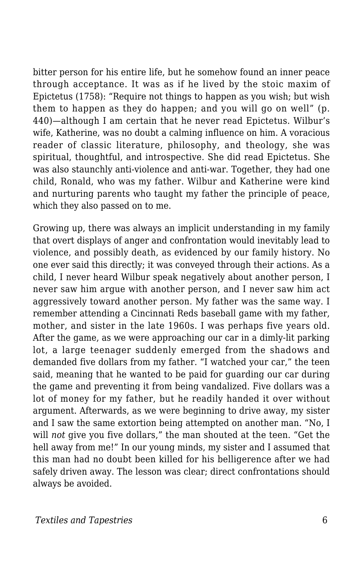bitter person for his entire life, but he somehow found an inner peace through acceptance. It was as if he lived by the stoic maxim of Epictetus (1758): "Require not things to happen as you wish; but wish them to happen as they do happen; and you will go on well" (p. 440)—although I am certain that he never read Epictetus. Wilbur's wife, Katherine, was no doubt a calming influence on him. A voracious reader of classic literature, philosophy, and theology, she was spiritual, thoughtful, and introspective. She did read Epictetus. She was also staunchly anti-violence and anti-war. Together, they had one child, Ronald, who was my father. Wilbur and Katherine were kind and nurturing parents who taught my father the principle of peace, which they also passed on to me.

Growing up, there was always an implicit understanding in my family that overt displays of anger and confrontation would inevitably lead to violence, and possibly death, as evidenced by our family history. No one ever said this directly; it was conveyed through their actions. As a child, I never heard Wilbur speak negatively about another person, I never saw him argue with another person, and I never saw him act aggressively toward another person. My father was the same way. I remember attending a Cincinnati Reds baseball game with my father, mother, and sister in the late 1960s. I was perhaps five years old. After the game, as we were approaching our car in a dimly-lit parking lot, a large teenager suddenly emerged from the shadows and demanded five dollars from my father. "I watched your car," the teen said, meaning that he wanted to be paid for guarding our car during the game and preventing it from being vandalized. Five dollars was a lot of money for my father, but he readily handed it over without argument. Afterwards, as we were beginning to drive away, my sister and I saw the same extortion being attempted on another man. "No, I will *not* give you five dollars," the man shouted at the teen. "Get the hell away from me!" In our young minds, my sister and I assumed that this man had no doubt been killed for his belligerence after we had safely driven away. The lesson was clear; direct confrontations should always be avoided.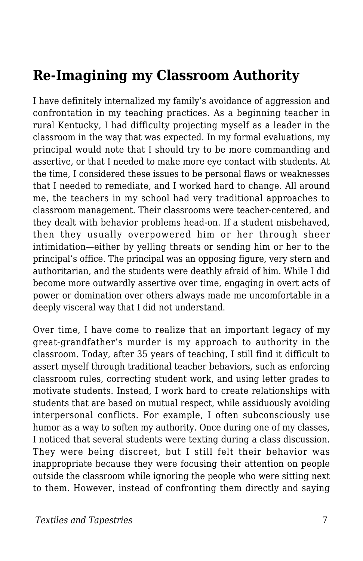#### **Re-Imagining my Classroom Authority**

I have definitely internalized my family's avoidance of aggression and confrontation in my teaching practices. As a beginning teacher in rural Kentucky, I had difficulty projecting myself as a leader in the classroom in the way that was expected. In my formal evaluations, my principal would note that I should try to be more commanding and assertive, or that I needed to make more eye contact with students. At the time, I considered these issues to be personal flaws or weaknesses that I needed to remediate, and I worked hard to change. All around me, the teachers in my school had very traditional approaches to classroom management. Their classrooms were teacher-centered, and they dealt with behavior problems head-on. If a student misbehaved, then they usually overpowered him or her through sheer intimidation—either by yelling threats or sending him or her to the principal's office. The principal was an opposing figure, very stern and authoritarian, and the students were deathly afraid of him. While I did become more outwardly assertive over time, engaging in overt acts of power or domination over others always made me uncomfortable in a deeply visceral way that I did not understand.

Over time, I have come to realize that an important legacy of my great-grandfather's murder is my approach to authority in the classroom. Today, after 35 years of teaching, I still find it difficult to assert myself through traditional teacher behaviors, such as enforcing classroom rules, correcting student work, and using letter grades to motivate students. Instead, I work hard to create relationships with students that are based on mutual respect, while assiduously avoiding interpersonal conflicts. For example, I often subconsciously use humor as a way to soften my authority. Once during one of my classes, I noticed that several students were texting during a class discussion. They were being discreet, but I still felt their behavior was inappropriate because they were focusing their attention on people outside the classroom while ignoring the people who were sitting next to them. However, instead of confronting them directly and saying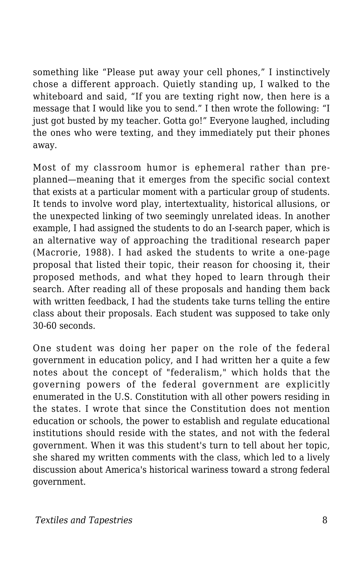something like "Please put away your cell phones," I instinctively chose a different approach. Quietly standing up, I walked to the whiteboard and said, "If you are texting right now, then here is a message that I would like you to send." I then wrote the following: "I just got busted by my teacher. Gotta go!" Everyone laughed, including the ones who were texting, and they immediately put their phones away.

Most of my classroom humor is ephemeral rather than preplanned—meaning that it emerges from the specific social context that exists at a particular moment with a particular group of students. It tends to involve word play, intertextuality, historical allusions, or the unexpected linking of two seemingly unrelated ideas. In another example, I had assigned the students to do an I-search paper, which is an alternative way of approaching the traditional research paper (Macrorie, 1988). I had asked the students to write a one-page proposal that listed their topic, their reason for choosing it, their proposed methods, and what they hoped to learn through their search. After reading all of these proposals and handing them back with written feedback, I had the students take turns telling the entire class about their proposals. Each student was supposed to take only 30-60 seconds.

One student was doing her paper on the role of the federal government in education policy, and I had written her a quite a few notes about the concept of "federalism," which holds that the governing powers of the federal government are explicitly enumerated in the U.S. Constitution with all other powers residing in the states. I wrote that since the Constitution does not mention education or schools, the power to establish and regulate educational institutions should reside with the states, and not with the federal government. When it was this student's turn to tell about her topic, she shared my written comments with the class, which led to a lively discussion about America's historical wariness toward a strong federal government.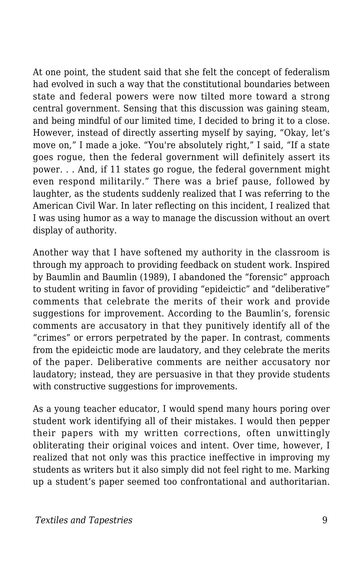At one point, the student said that she felt the concept of federalism had evolved in such a way that the constitutional boundaries between state and federal powers were now tilted more toward a strong central government. Sensing that this discussion was gaining steam, and being mindful of our limited time, I decided to bring it to a close. However, instead of directly asserting myself by saying, "Okay, let's move on," I made a joke. "You're absolutely right," I said, "If a state goes rogue, then the federal government will definitely assert its power. . . And, if 11 states go rogue, the federal government might even respond militarily." There was a brief pause, followed by laughter, as the students suddenly realized that I was referring to the American Civil War. In later reflecting on this incident, I realized that I was using humor as a way to manage the discussion without an overt display of authority.

Another way that I have softened my authority in the classroom is through my approach to providing feedback on student work. Inspired by Baumlin and Baumlin (1989), I abandoned the "forensic" approach to student writing in favor of providing "epideictic" and "deliberative" comments that celebrate the merits of their work and provide suggestions for improvement. According to the Baumlin's, forensic comments are accusatory in that they punitively identify all of the "crimes" or errors perpetrated by the paper. In contrast, comments from the epideictic mode are laudatory, and they celebrate the merits of the paper. Deliberative comments are neither accusatory nor laudatory; instead, they are persuasive in that they provide students with constructive suggestions for improvements.

As a young teacher educator, I would spend many hours poring over student work identifying all of their mistakes. I would then pepper their papers with my written corrections, often unwittingly obliterating their original voices and intent. Over time, however, I realized that not only was this practice ineffective in improving my students as writers but it also simply did not feel right to me. Marking up a student's paper seemed too confrontational and authoritarian.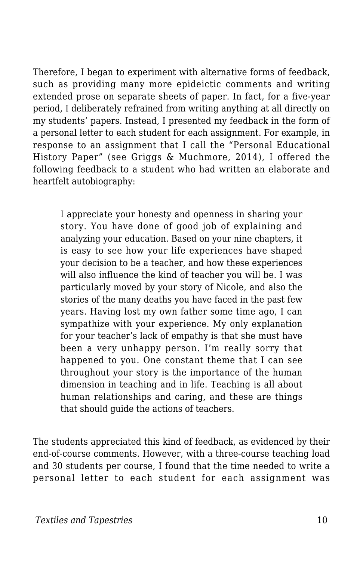Therefore, I began to experiment with alternative forms of feedback, such as providing many more epideictic comments and writing extended prose on separate sheets of paper. In fact, for a five-year period, I deliberately refrained from writing anything at all directly on my students' papers. Instead, I presented my feedback in the form of a personal letter to each student for each assignment. For example, in response to an assignment that I call the "Personal Educational History Paper" (see Griggs & Muchmore, 2014), I offered the following feedback to a student who had written an elaborate and heartfelt autobiography:

I appreciate your honesty and openness in sharing your story. You have done of good job of explaining and analyzing your education. Based on your nine chapters, it is easy to see how your life experiences have shaped your decision to be a teacher, and how these experiences will also influence the kind of teacher you will be. I was particularly moved by your story of Nicole, and also the stories of the many deaths you have faced in the past few years. Having lost my own father some time ago, I can sympathize with your experience. My only explanation for your teacher's lack of empathy is that she must have been a very unhappy person. I'm really sorry that happened to you. One constant theme that I can see throughout your story is the importance of the human dimension in teaching and in life. Teaching is all about human relationships and caring, and these are things that should guide the actions of teachers.

The students appreciated this kind of feedback, as evidenced by their end-of-course comments. However, with a three-course teaching load and 30 students per course, I found that the time needed to write a personal letter to each student for each assignment was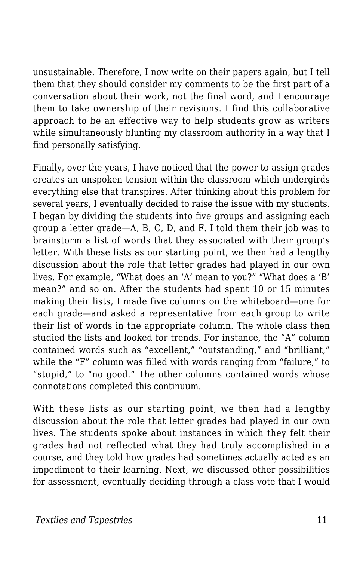unsustainable. Therefore, I now write on their papers again, but I tell them that they should consider my comments to be the first part of a conversation about their work, not the final word, and I encourage them to take ownership of their revisions. I find this collaborative approach to be an effective way to help students grow as writers while simultaneously blunting my classroom authority in a way that I find personally satisfying.

Finally, over the years, I have noticed that the power to assign grades creates an unspoken tension within the classroom which undergirds everything else that transpires. After thinking about this problem for several years, I eventually decided to raise the issue with my students. I began by dividing the students into five groups and assigning each group a letter grade—A, B, C, D, and F. I told them their job was to brainstorm a list of words that they associated with their group's letter. With these lists as our starting point, we then had a lengthy discussion about the role that letter grades had played in our own lives. For example, "What does an 'A' mean to you?" "What does a 'B' mean?" and so on. After the students had spent 10 or 15 minutes making their lists, I made five columns on the whiteboard—one for each grade—and asked a representative from each group to write their list of words in the appropriate column. The whole class then studied the lists and looked for trends. For instance, the "A" column contained words such as "excellent," "outstanding," and "brilliant," while the "F" column was filled with words ranging from "failure," to "stupid," to "no good." The other columns contained words whose connotations completed this continuum.

With these lists as our starting point, we then had a lengthy discussion about the role that letter grades had played in our own lives. The students spoke about instances in which they felt their grades had not reflected what they had truly accomplished in a course, and they told how grades had sometimes actually acted as an impediment to their learning. Next, we discussed other possibilities for assessment, eventually deciding through a class vote that I would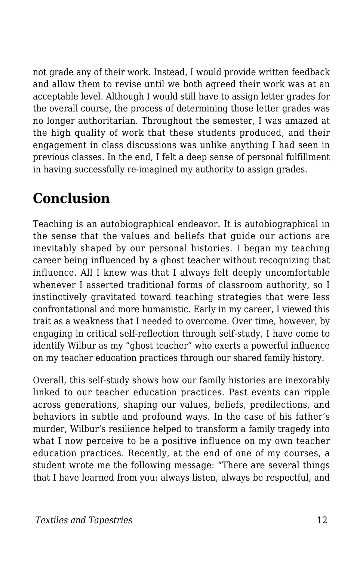not grade any of their work. Instead, I would provide written feedback and allow them to revise until we both agreed their work was at an acceptable level. Although I would still have to assign letter grades for the overall course, the process of determining those letter grades was no longer authoritarian. Throughout the semester, I was amazed at the high quality of work that these students produced, and their engagement in class discussions was unlike anything I had seen in previous classes. In the end, I felt a deep sense of personal fulfillment in having successfully re-imagined my authority to assign grades.

# **Conclusion**

Teaching is an autobiographical endeavor. It is autobiographical in the sense that the values and beliefs that guide our actions are inevitably shaped by our personal histories. I began my teaching career being influenced by a ghost teacher without recognizing that influence. All I knew was that I always felt deeply uncomfortable whenever I asserted traditional forms of classroom authority, so I instinctively gravitated toward teaching strategies that were less confrontational and more humanistic. Early in my career, I viewed this trait as a weakness that I needed to overcome. Over time, however, by engaging in critical self-reflection through self-study, I have come to identify Wilbur as my "ghost teacher" who exerts a powerful influence on my teacher education practices through our shared family history.

Overall, this self-study shows how our family histories are inexorably linked to our teacher education practices. Past events can ripple across generations, shaping our values, beliefs, predilections, and behaviors in subtle and profound ways. In the case of his father's murder, Wilbur's resilience helped to transform a family tragedy into what I now perceive to be a positive influence on my own teacher education practices. Recently, at the end of one of my courses, a student wrote me the following message: "There are several things that I have learned from you: always listen, always be respectful, and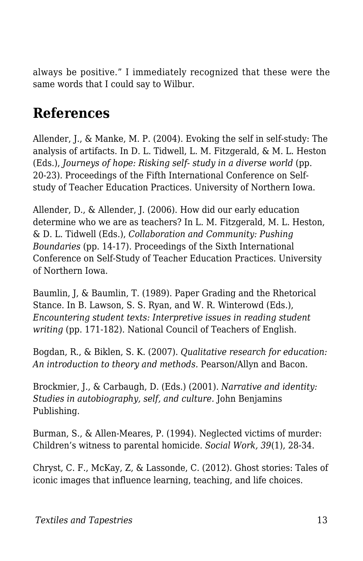always be positive." I immediately recognized that these were the same words that I could say to Wilbur.

## **References**

Allender, J., & Manke, M. P. (2004). Evoking the self in self-study: The analysis of artifacts. In D. L. Tidwell, L. M. Fitzgerald, & M. L. Heston (Eds.), *Journeys of hope: Risking self- study in a diverse world* (pp. 20-23)*.* Proceedings of the Fifth International Conference on Selfstudy of Teacher Education Practices. University of Northern Iowa.

Allender, D., & Allender, J. (2006). How did our early education determine who we are as teachers? In L. M. Fitzgerald, M. L. Heston, & D. L. Tidwell (Eds.), *Collaboration and Community: Pushing Boundaries* (pp. 14-17)*.* Proceedings of the Sixth International Conference on Self-Study of Teacher Education Practices. University of Northern Iowa.

Baumlin, J, & Baumlin, T. (1989). Paper Grading and the Rhetorical Stance. In B. Lawson, S. S. Ryan, and W. R. Winterowd (Eds.), *Encountering student texts: Interpretive issues in reading student writing* (pp. 171-182). National Council of Teachers of English.

Bogdan, R., & Biklen, S. K. (2007). *Qualitative research for education: An introduction to theory and methods.* Pearson/Allyn and Bacon.

Brockmier, J., & Carbaugh, D. (Eds.) (2001). *Narrative and identity: Studies in autobiography, self, and culture.* John Benjamins Publishing.

Burman, S., & Allen-Meares, P. (1994). Neglected victims of murder: Children's witness to parental homicide. *Social Work, 39*(1), 28-34.

Chryst, C. F., McKay, Z, & Lassonde, C. (2012). Ghost stories: Tales of iconic images that influence learning, teaching, and life choices.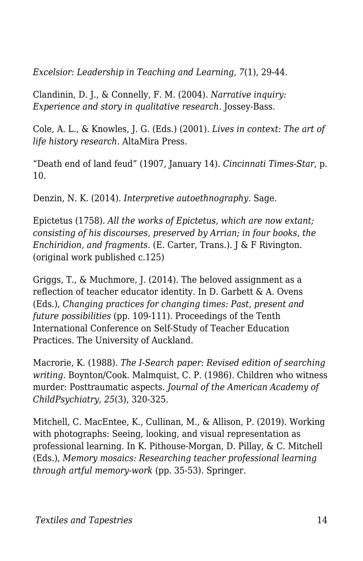*Excelsior: Leadership in Teaching and Learning, 7*(1), 29-44.

Clandinin, D. J., & Connelly, F. M. (2004). *Narrative inquiry: Experience and story in qualitative research.* Jossey-Bass.

Cole, A. L., & Knowles, J. G. (Eds.) (2001). *Lives in context: The art of life history research.* AltaMira Press.

"Death end of land feud" (1907, January 14). *Cincinnati Times-Star*, p. 10.

Denzin, N. K. (2014). *Interpretive autoethnography.* Sage.

Epictetus (1758). *All the works of Epictetus, which are now extant; consisting of his discourses, preserved by Arrian; in four books, the Enchiridion, and fragments.* (E. Carter, Trans.). J & F Rivington. (original work published c.125)

Griggs, T., & Muchmore, J. (2014). The beloved assignment as a reflection of teacher educator identity. In D. Garbett & A. Ovens (Eds.), *Changing practices for changing times: Past, present and future possibilities* (pp. 109-111)*.* Proceedings of the Tenth International Conference on Self-Study of Teacher Education Practices. The University of Auckland.

Macrorie, K. (1988). *The I-Search paper: Revised edition of searching writing.* Boynton/Cook. Malmquist, C. P. (1986). Children who witness murder: Posttraumatic aspects. *Journal of the American Academy of ChildPsychiatry, 25*(3), 320-325.

Mitchell, C. MacEntee, K., Cullinan, M., & Allison, P. (2019). Working with photographs: Seeing, looking, and visual representation as professional learning. In K. Pithouse-Morgan, D. Pillay, & C. Mitchell (Eds.), *Memory mosaics: Researching teacher professional learning through artful memory-work* (pp. 35-53). Springer.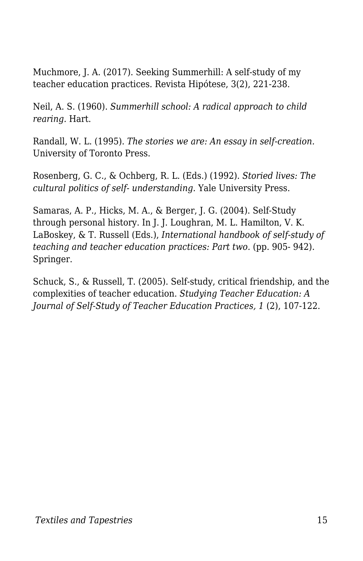Muchmore, J. A. (2017). Seeking Summerhill: A self-study of my teacher education practices*.* Revista Hipótese, 3(2), 221-238.

Neil, A. S. (1960). *Summerhill school: A radical approach to child rearing.* Hart.

Randall, W. L. (1995). *The stories we are: An essay in self-creation.* University of Toronto Press.

Rosenberg, G. C., & Ochberg, R. L. (Eds.) (1992). *Storied lives: The cultural politics of self- understanding.* Yale University Press.

Samaras, A. P., Hicks, M. A., & Berger, J. G. (2004). Self-Study through personal history. In J. J. Loughran, M. L. Hamilton, V. K. LaBoskey, & T. Russell (Eds.), *International handbook of self-study of teaching and teacher education practices: Part two.* (pp. 905- 942). Springer.

Schuck, S., & Russell, T. (2005). Self-study, critical friendship, and the complexities of teacher education. *Studying Teacher Education: A Journal of Self-Study of Teacher Education Practices, 1* (2), 107-122.